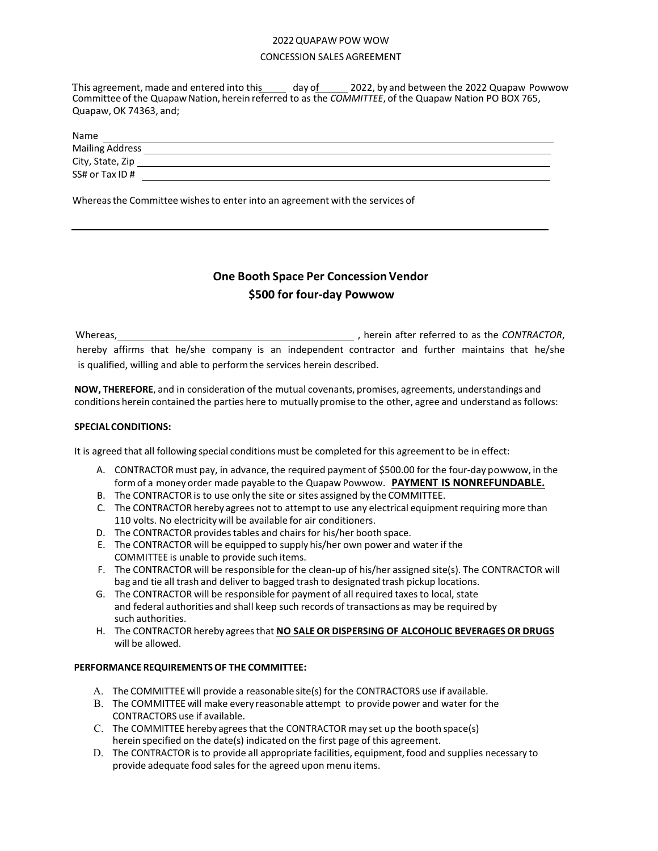#### 2022 QUAPAW POW WOW

### CONCESSION SALES AGREEMENT

This agreement, made and entered into this day of 2022, by and between the 2022 Quapaw Powwow Committee of the Quapaw Nation, herein referred to as the *COMMITTEE*, of the Quapaw Nation PO BOX 765, Quapaw, OK 74363, and;

| <b>Name</b>            |  |
|------------------------|--|
| <b>Mailing Address</b> |  |
| City, State, Zip       |  |
| SS# or Tax ID #        |  |
|                        |  |

Whereasthe Committee wishes to enter into an agreement with the services of

# **One Booth Space Per Concession Vendor \$500 for four-day Powwow**

Whereas,  $\blacksquare$ , herein after referred to as the *CONTRACTOR*, hereby affirms that he/she company is an independent contractor and further maintains that he/she is qualified, willing and able to perform the services herein described.

**NOW, THEREFORE**, and in consideration of the mutual covenants, promises, agreements, understandings and conditions herein contained the parties here to mutually promise to the other, agree and understand as follows:

## **SPECIAL CONDITIONS:**

It is agreed that all following special conditions must be completed for this agreement to be in effect:

- A. CONTRACTOR must pay, in advance, the required payment of \$500.00 for the four-day powwow, in the form of a money order made payable to the Quapaw Powwow. **PAYMENT IS NONREFUNDABLE.**
- B. The CONTRACTOR is to use only the site or sites assigned by the COMMITTEE.
- C. The CONTRACTOR hereby agrees not to attempt to use any electrical equipment requiring more than 110 volts. No electricity will be available for air conditioners.
- D. The CONTRACTOR provides tables and chairs for his/her booth space.
- E. The CONTRACTOR will be equipped to supply his/her own power and water if the COMMITTEE is unable to provide such items.
- F. The CONTRACTOR will be responsible for the clean-up of his/her assigned site(s). The CONTRACTOR will bag and tie all trash and deliver to bagged trash to designated trash pickup locations.
- G. The CONTRACTOR will be responsible for payment of all required taxesto local, state and federal authorities and shall keep such records of transactions as may be required by such authorities.
- H. The CONTRACTOR hereby agreesthat **NO SALE OR DISPERSING OF ALCOHOLIC BEVERAGES OR DRUGS** will be allowed.

## **PERFORMANCE REQUIREMENTS OF THE COMMITTEE:**

- A. The COMMITTEE will provide a reasonable site(s) for the CONTRACTORS use if available.
- B. The COMMITTEE will make every reasonable attempt to provide power and water for the CONTRACTORS use if available.
- C. The COMMITTEE hereby agrees that the CONTRACTOR may set up the booth space(s) herein specified on the date(s) indicated on the first page of this agreement.
- D. The CONTRACTOR is to provide all appropriate facilities, equipment, food and supplies necessary to provide adequate food sales for the agreed upon menu items.